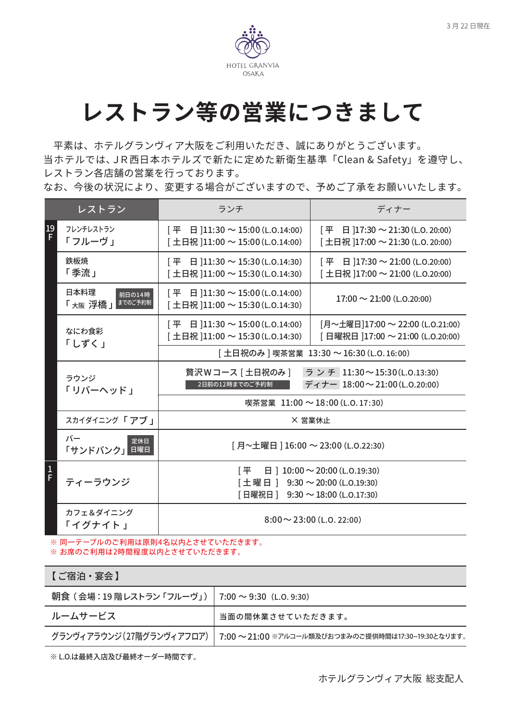

 平素は、ホテルグランヴィア大阪をご利用いただき、誠にありがとうございます。 当ホテルでは、JR西日本ホテルズで新たに定めた新衛生基準「Clean & Safety」を遵守し、 レストラン各店舗の営業を行っております。

なお、今後の状況により、変更する場合がございますので、予めご了承をお願いいたします。

|                                                                                                                                             | レストラン                                            | ランチ                                                                                            | ディナー                                                                                                  |
|---------------------------------------------------------------------------------------------------------------------------------------------|--------------------------------------------------|------------------------------------------------------------------------------------------------|-------------------------------------------------------------------------------------------------------|
| $\frac{19}{F}$                                                                                                                              | フレンチレストラン<br>「フルーヴ」                              | $\boxed{+}$ $\boxed{=}$ $\boxed{11:30}$ ~ 15:00 (L.O.14:00)<br>[土日祝 111:00 ~ 15:00 (L.O.14:00) | $\boxed{+}$ $\boxed{=}$ $\boxed{17:30}$ $\sim$ 21:30 (L.O. 20:00)<br>[土日祝 117:00 ∼ 21:30 (L.O. 20:00) |
|                                                                                                                                             | 鉄板焼<br>「季流」                                      | $\boxed{+}$ $\boxed{=}$ $\boxed{11:30}$ ~ 15:30 (L.O.14:30)<br>[土日祝]11:00~15:30(L.O.14:30)     | $\sqrt{4}$ 日 17:30 ~ 21:00 (L.O.20:00)<br>[土日祝]17:00~21:00 (L.O.20:00)                                |
|                                                                                                                                             | 日本料理<br>前日の14時<br>までのご予約制<br>「 <sub>大阪</sub> 浮橋」 | $\boxed{+}$ $\boxed{=}$ $\boxed{11:30}$ ~ 15:00 (L.O.14:00)<br>[土日祝]11:00~15:30(L.O.14:30)     | $17:00 \sim 21:00$ (L.O.20:00)                                                                        |
|                                                                                                                                             | なにわ食彩<br>「しずく」                                   | $\boxed{+}$ $\boxed{=}$ $\boxed{11:30}$ ~ 15:00 (L.O.14:00)<br>[土日祝]11:00~15:30(L.O.14:30)     | 「月~土曜日]17:00 ~ 22:00 (L.O.21:00)<br>[日曜祝日 ]17:00 ~ 21:00 (L.O.20:00)                                  |
|                                                                                                                                             |                                                  | [土日祝のみ]喫茶営業 13:30 ~ 16:30 (L.O.16:00)                                                          |                                                                                                       |
|                                                                                                                                             | ラウンジ<br>「リバーヘッド」                                 | 贅沢 W コース [ 土日祝のみ ]<br>2日前の12時までのご予約制                                                           | ランチ 11:30~15:30(L.O.13:30)<br>ディナー 18:00 ~ 21:00 (L.O.20:00)                                          |
|                                                                                                                                             |                                                  | 喫茶営業 11:00 ~ 18:00 (L.O. 17:30)                                                                |                                                                                                       |
|                                                                                                                                             | スカイダイニング「アブ」                                     | × 営業休止                                                                                         |                                                                                                       |
|                                                                                                                                             | バー<br>定休日<br>日曜日<br>「サンドバンク」                     | [月~土曜日 ] 16:00 ~ 23:00 (L.O.22:30)                                                             |                                                                                                       |
| $\frac{1}{F}$<br>$\boxminus$ 10:00 ~ 20:00 (L.O.19:30)<br>「平<br>ティーラウンジ<br>[土曜日 ] 9:30~20:00 (L.O.19:30)<br>[日曜祝日] 9:30 ~ 18:00 (L.O.17:30) |                                                  |                                                                                                |                                                                                                       |
|                                                                                                                                             | カフェ&ダイニング<br>「イグナイト」                             |                                                                                                | $8:00 \sim 23:00$ (L.O. 22:00)                                                                        |

※ 同一テーブルのご利用は原則4名以内とさせていただきます。 ※ お席のご利用は2時間程度以内とさせていただきます。

【 ご宿泊・宴会 】

| 朝食 ( 会場:19 階レストラン 「フルーヴ」)   7:00 ~ 9:30(L.O. 9:30) |                                                                               |  |
|----------------------------------------------------|-------------------------------------------------------------------------------|--|
| ルームサービス                                            | 当面の間休業させていただきます。                                                              |  |
|                                                    | グランヴィアラウンジ (27階グランヴィアフロア)   7:00 ~21:00 ※アルコール類及びおつまみのご提供時間は17:30~19:30となります。 |  |

※ L.O.は最終入店及び最終オーダー時間です。